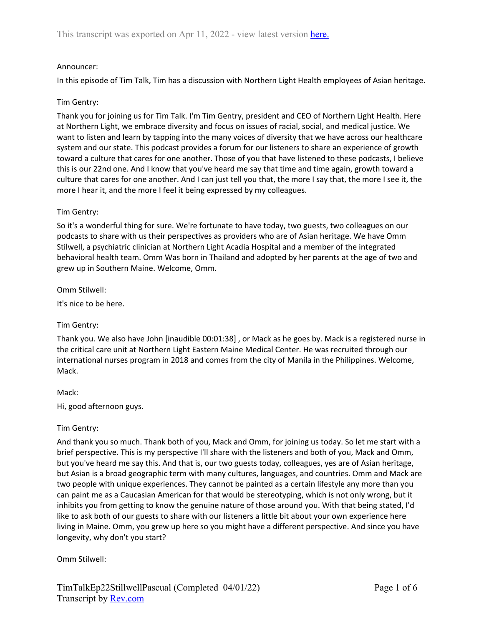# Announcer:

In this episode of Tim Talk, Tim has a discussion with Northern Light Health employees of Asian heritage.

#### Tim Gentry:

Thank you for joining us for Tim Talk. I'm Tim Gentry, president and CEO of Northern Light Health. Here at Northern Light, we embrace diversity and focus on issues of racial, social, and medical justice. We want to listen and learn by tapping into the many voices of diversity that we have across our healthcare system and our state. This podcast provides a forum for our listeners to share an experience of growth toward a culture that cares for one another. Those of you that have listened to these podcasts, I believe this is our 22nd one. And I know that you've heard me say that time and time again, growth toward a culture that cares for one another. And I can just tell you that, the more I say that, the more I see it, the more I hear it, and the more I feel it being expressed by my colleagues.

### Tim Gentry:

So it's a wonderful thing for sure. We're fortunate to have today, two guests, two colleagues on our podcasts to share with us their perspectives as providers who are of Asian heritage. We have Omm Stilwell, a psychiatric clinician at Northern Light Acadia Hospital and a member of the integrated behavioral health team. Omm Was born in Thailand and adopted by her parents at the age of two and grew up in Southern Maine. Welcome, Omm.

Omm Stilwell:

It's nice to be here.

#### Tim Gentry:

Thank you. We also have John [inaudible 00:01:38] , or Mack as he goes by. Mack is a registered nurse in the critical care unit at Northern Light Eastern Maine Medical Center. He was recruited through our international nurses program in 2018 and comes from the city of Manila in the Philippines. Welcome, Mack.

#### Mack:

Hi, good afternoon guys.

#### Tim Gentry:

And thank you so much. Thank both of you, Mack and Omm, for joining us today. So let me start with a brief perspective. This is my perspective I'll share with the listeners and both of you, Mack and Omm, but you've heard me say this. And that is, our two guests today, colleagues, yes are of Asian heritage, but Asian is a broad geographic term with many cultures, languages, and countries. Omm and Mack are two people with unique experiences. They cannot be painted as a certain lifestyle any more than you can paint me as a Caucasian American for that would be stereotyping, which is not only wrong, but it inhibits you from getting to know the genuine nature of those around you. With that being stated, I'd like to ask both of our guests to share with our listeners a little bit about your own experience here living in Maine. Omm, you grew up here so you might have a different perspective. And since you have longevity, why don't you start?

#### Omm Stilwell: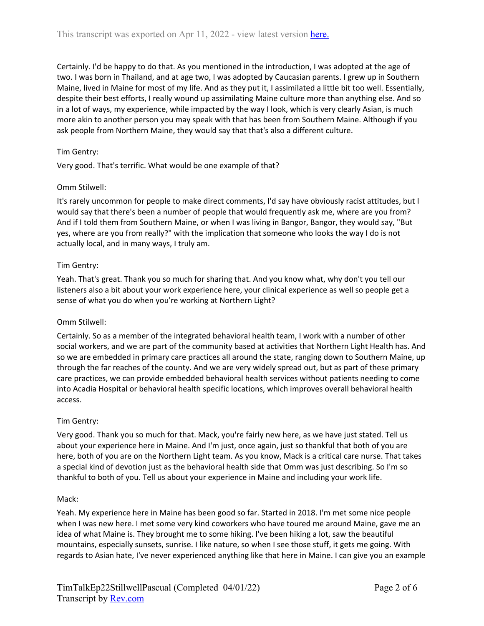Certainly. I'd be happy to do that. As you mentioned in the introduction, I was adopted at the age of two. I was born in Thailand, and at age two, I was adopted by Caucasian parents. I grew up in Southern Maine, lived in Maine for most of my life. And as they put it, I assimilated a little bit too well. Essentially, despite their best efforts, I really wound up assimilating Maine culture more than anything else. And so in a lot of ways, my experience, while impacted by the way I look, which is very clearly Asian, is much more akin to another person you may speak with that has been from Southern Maine. Although if you ask people from Northern Maine, they would say that that's also a different culture.

# Tim Gentry:

Very good. That's terrific. What would be one example of that?

### Omm Stilwell:

It's rarely uncommon for people to make direct comments, I'd say have obviously racist attitudes, but I would say that there's been a number of people that would frequently ask me, where are you from? And if I told them from Southern Maine, or when I was living in Bangor, Bangor, they would say, "But yes, where are you from really?" with the implication that someone who looks the way I do is not actually local, and in many ways, I truly am.

### Tim Gentry:

Yeah. That's great. Thank you so much for sharing that. And you know what, why don't you tell our listeners also a bit about your work experience here, your clinical experience as well so people get a sense of what you do when you're working at Northern Light?

#### Omm Stilwell:

Certainly. So as a member of the integrated behavioral health team, I work with a number of other social workers, and we are part of the community based at activities that Northern Light Health has. And so we are embedded in primary care practices all around the state, ranging down to Southern Maine, up through the far reaches of the county. And we are very widely spread out, but as part of these primary care practices, we can provide embedded behavioral health services without patients needing to come into Acadia Hospital or behavioral health specific locations, which improves overall behavioral health access.

#### Tim Gentry:

Very good. Thank you so much for that. Mack, you're fairly new here, as we have just stated. Tell us about your experience here in Maine. And I'm just, once again, just so thankful that both of you are here, both of you are on the Northern Light team. As you know, Mack is a critical care nurse. That takes a special kind of devotion just as the behavioral health side that Omm was just describing. So I'm so thankful to both of you. Tell us about your experience in Maine and including your work life.

#### Mack:

Yeah. My experience here in Maine has been good so far. Started in 2018. I'm met some nice people when I was new here. I met some very kind coworkers who have toured me around Maine, gave me an idea of what Maine is. They brought me to some hiking. I've been hiking a lot, saw the beautiful mountains, especially sunsets, sunrise. I like nature, so when I see those stuff, it gets me going. With regards to Asian hate, I've never experienced anything like that here in Maine. I can give you an example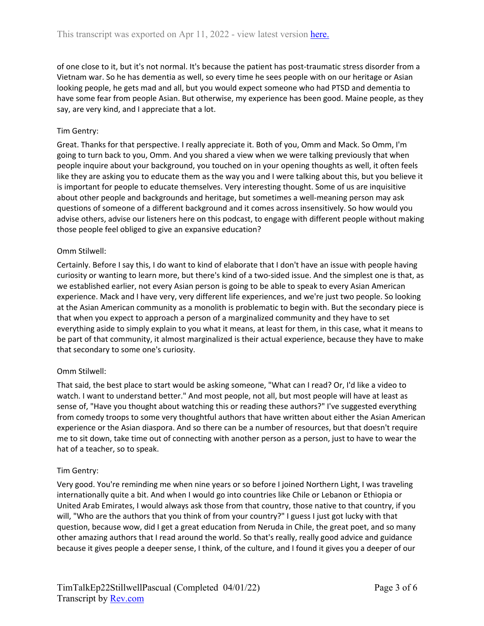of one close to it, but it's not normal. It's because the patient has post-traumatic stress disorder from a Vietnam war. So he has dementia as well, so every time he sees people with on our heritage or Asian looking people, he gets mad and all, but you would expect someone who had PTSD and dementia to have some fear from people Asian. But otherwise, my experience has been good. Maine people, as they say, are very kind, and I appreciate that a lot.

# Tim Gentry:

Great. Thanks for that perspective. I really appreciate it. Both of you, Omm and Mack. So Omm, I'm going to turn back to you, Omm. And you shared a view when we were talking previously that when people inquire about your background, you touched on in your opening thoughts as well, it often feels like they are asking you to educate them as the way you and I were talking about this, but you believe it is important for people to educate themselves. Very interesting thought. Some of us are inquisitive about other people and backgrounds and heritage, but sometimes a well-meaning person may ask questions of someone of a different background and it comes across insensitively. So how would you advise others, advise our listeners here on this podcast, to engage with different people without making those people feel obliged to give an expansive education?

#### Omm Stilwell:

Certainly. Before I say this, I do want to kind of elaborate that I don't have an issue with people having curiosity or wanting to learn more, but there's kind of a two-sided issue. And the simplest one is that, as we established earlier, not every Asian person is going to be able to speak to every Asian American experience. Mack and I have very, very different life experiences, and we're just two people. So looking at the Asian American community as a monolith is problematic to begin with. But the secondary piece is that when you expect to approach a person of a marginalized community and they have to set everything aside to simply explain to you what it means, at least for them, in this case, what it means to be part of that community, it almost marginalized is their actual experience, because they have to make that secondary to some one's curiosity.

# Omm Stilwell:

That said, the best place to start would be asking someone, "What can I read? Or, I'd like a video to watch. I want to understand better." And most people, not all, but most people will have at least as sense of, "Have you thought about watching this or reading these authors?" I've suggested everything from comedy troops to some very thoughtful authors that have written about either the Asian American experience or the Asian diaspora. And so there can be a number of resources, but that doesn't require me to sit down, take time out of connecting with another person as a person, just to have to wear the hat of a teacher, so to speak.

#### Tim Gentry:

Very good. You're reminding me when nine years or so before I joined Northern Light, I was traveling internationally quite a bit. And when I would go into countries like Chile or Lebanon or Ethiopia or United Arab Emirates, I would always ask those from that country, those native to that country, if you will, "Who are the authors that you think of from your country?" I guess I just got lucky with that question, because wow, did I get a great education from Neruda in Chile, the great poet, and so many other amazing authors that I read around the world. So that's really, really good advice and guidance because it gives people a deeper sense, I think, of the culture, and I found it gives you a deeper of our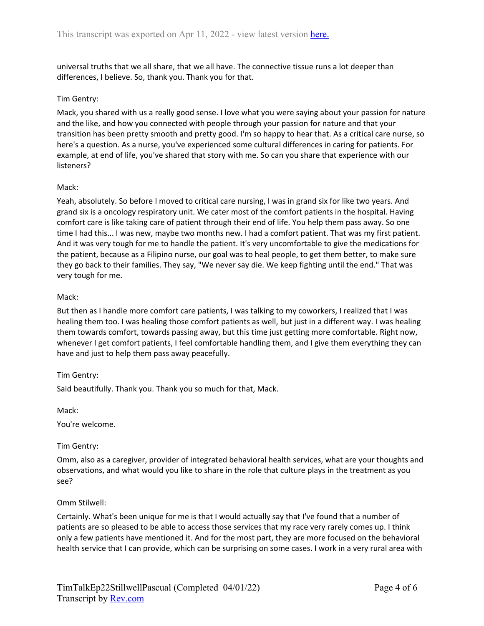universal truths that we all share, that we all have. The connective tissue runs a lot deeper than differences, I believe. So, thank you. Thank you for that.

#### Tim Gentry:

Mack, you shared with us a really good sense. I love what you were saying about your passion for nature and the like, and how you connected with people through your passion for nature and that your transition has been pretty smooth and pretty good. I'm so happy to hear that. As a critical care nurse, so here's a question. As a nurse, you've experienced some cultural differences in caring for patients. For example, at end of life, you've shared that story with me. So can you share that experience with our listeners?

#### Mack:

Yeah, absolutely. So before I moved to critical care nursing, I was in grand six for like two years. And grand six is a oncology respiratory unit. We cater most of the comfort patients in the hospital. Having comfort care is like taking care of patient through their end of life. You help them pass away. So one time I had this... I was new, maybe two months new. I had a comfort patient. That was my first patient. And it was very tough for me to handle the patient. It's very uncomfortable to give the medications for the patient, because as a Filipino nurse, our goal was to heal people, to get them better, to make sure they go back to their families. They say, "We never say die. We keep fighting until the end." That was very tough for me.

### Mack:

But then as I handle more comfort care patients, I was talking to my coworkers, I realized that I was healing them too. I was healing those comfort patients as well, but just in a different way. I was healing them towards comfort, towards passing away, but this time just getting more comfortable. Right now, whenever I get comfort patients, I feel comfortable handling them, and I give them everything they can have and just to help them pass away peacefully.

# Tim Gentry:

Said beautifully. Thank you. Thank you so much for that, Mack.

Mack:

You're welcome.

# Tim Gentry:

Omm, also as a caregiver, provider of integrated behavioral health services, what are your thoughts and observations, and what would you like to share in the role that culture plays in the treatment as you see?

#### Omm Stilwell:

Certainly. What's been unique for me is that I would actually say that I've found that a number of patients are so pleased to be able to access those services that my race very rarely comes up. I think only a few patients have mentioned it. And for the most part, they are more focused on the behavioral health service that I can provide, which can be surprising on some cases. I work in a very rural area with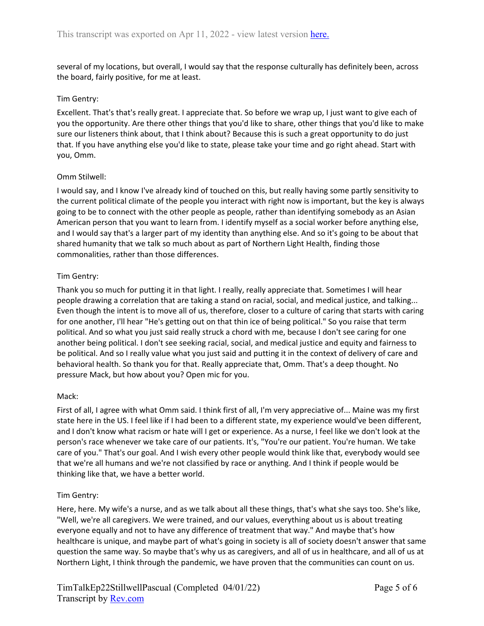several of my locations, but overall, I would say that the response culturally has definitely been, across the board, fairly positive, for me at least.

## Tim Gentry:

Excellent. That's that's really great. I appreciate that. So before we wrap up, I just want to give each of you the opportunity. Are there other things that you'd like to share, other things that you'd like to make sure our listeners think about, that I think about? Because this is such a great opportunity to do just that. If you have anything else you'd like to state, please take your time and go right ahead. Start with you, Omm.

### Omm Stilwell:

I would say, and I know I've already kind of touched on this, but really having some partly sensitivity to the current political climate of the people you interact with right now is important, but the key is always going to be to connect with the other people as people, rather than identifying somebody as an Asian American person that you want to learn from. I identify myself as a social worker before anything else, and I would say that's a larger part of my identity than anything else. And so it's going to be about that shared humanity that we talk so much about as part of Northern Light Health, finding those commonalities, rather than those differences.

### Tim Gentry:

Thank you so much for putting it in that light. I really, really appreciate that. Sometimes I will hear people drawing a correlation that are taking a stand on racial, social, and medical justice, and talking... Even though the intent is to move all of us, therefore, closer to a culture of caring that starts with caring for one another, I'll hear "He's getting out on that thin ice of being political." So you raise that term political. And so what you just said really struck a chord with me, because I don't see caring for one another being political. I don't see seeking racial, social, and medical justice and equity and fairness to be political. And so I really value what you just said and putting it in the context of delivery of care and behavioral health. So thank you for that. Really appreciate that, Omm. That's a deep thought. No pressure Mack, but how about you? Open mic for you.

#### Mack:

First of all, I agree with what Omm said. I think first of all, I'm very appreciative of... Maine was my first state here in the US. I feel like if I had been to a different state, my experience would've been different, and I don't know what racism or hate will I get or experience. As a nurse, I feel like we don't look at the person's race whenever we take care of our patients. It's, "You're our patient. You're human. We take care of you." That's our goal. And I wish every other people would think like that, everybody would see that we're all humans and we're not classified by race or anything. And I think if people would be thinking like that, we have a better world.

#### Tim Gentry:

Here, here. My wife's a nurse, and as we talk about all these things, that's what she says too. She's like, "Well, we're all caregivers. We were trained, and our values, everything about us is about treating everyone equally and not to have any difference of treatment that way." And maybe that's how healthcare is unique, and maybe part of what's going in society is all of society doesn't answer that same question the same way. So maybe that's why us as caregivers, and all of us in healthcare, and all of us at Northern Light, I think through the pandemic, we have proven that the communities can count on us.